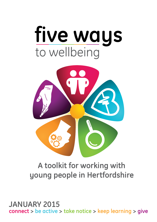



# **A toolkit for working with young people in Hertfordshire**

**connect > be active > take notice > keep learning > give JANUARY 2015**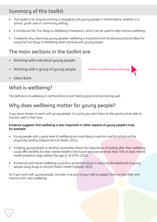## **Summary of this toolkit**

- This toolkit is for anyone working or engaging with young people in Hertfordshire; whether in a school, youth club or community setting.
- It introduces the 'Five Waus to Wellbeing Framework', which can be used to help improve wellbeing.
- It explains why improving young peoples' wellbeing is important and introduces practical ideas for using the Five Ways to Wellbeing when working with young people.

## **The main sections in the toolkit are:**

- **• Working with individual young people**
- **• Working with a group of young people**

**Click on a section to go to that page**

**• Ideas Bank**

1

## **What is wellbeing?**

The definition of wellbeing in Hertfordshire is both feeling good and functioning well.

# **Why does wellbeing matter for young people?**

If you have chosen to work with young people, of course you want them to feel good and be able to function well in their lives.

#### **Evidence suggests that wellbeing is also important in other aspects of young people's lives, for example:**

- Young people with a good level of wellbeing are more likely to perform well at school and be physically healthy (Department of Health, 2011).
- Enabling young people to develop awareness about the importance of looking after their wellbeing could offer benefits for their mental health in the future because we know that 75% of adult mental health problems begin before the age of 18 (CMO, 2012).
- Emotional and mental wellbeing could be a protective factor in reducing the likelihood of young people using drugs or alcohol (Public Health England, 2013)

So if you work with young people, consider it as part of your role to support them to look after and improve their own wellbeing.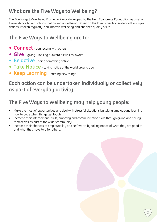# **What are the Five Ways to Wellbeing?**

The Five Ways to Wellbeing Framework was developed by the New Economics Foundation as a set of five evidence based actions that promote wellbeing. Based on the latest scientific evidence the simple actions, if taken regularly, can improve wellbeing and enhance quality of life.

## **The Five Ways to Wellbeing are to:**

- **• Connect** connecting with others
- **• Give**  giving looking outward as well as inward
- **• Be active** doing something active
- **• Take Notice** taking notice of the world around you
- **• Keep Learning** learning new things

## **Each action can be undertaken individually or collectively as part of everyday activity.**

# **The Five Ways to Wellbeing may help young people:**

- Make the most of opportunities and deal with stressful situations by taking time out and learning how to cope when things get tough.
- Increase their interpersonal skills, empathy and communication skills through giving and seeing themselves as part of the wider community.
- Increase their chances of employability and self-worth by taking notice of what they are good at and what they have to offer others.

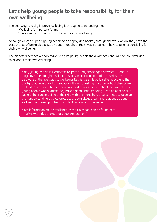## **Let's help young people to take responsibility for their own wellbeing**

The best way to really improve wellbeing is through understanding that

- 'Wellbeing is important for me'
- 'There are things that I can do to improve my wellbeing'

Although we can support young people to be happy and healthy through the work we do, they have the best chance of being able to stay happy throughout their lives if they learn how to take responsibility for their own wellbeing.

The biggest difference we can make is to give young people the awareness and skills to look after and think about their own wellbeing.

Many young people in Hertfordshire (particularly those aged between 11 and 15) may have been taught resilience lessons in school as part of the curriculum or be aware of the five ways to wellbeing. Resilience skills build self-efficacy and the ability to bounce back from setbacks. It's worth asking the group about their current understanding and whether they have had any lessons in school for example. For young people who suggest they have a good understanding it can be beneficial to explore the transferability of the skills with them and how they continue to develop their understanding as they grow up. We can always learn more about personal wellbeing and keep practising and building on what we know.

More information on the resilience lessons in school can be found here http://howtothrive.org/young-people/education/

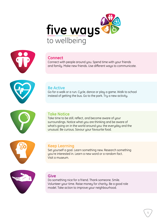



### **Connect**

Connect with people around you. Spend time with your friends and family. Make new friends. Use different ways to communicate.





#### **Be Active**

Go for a walk or a run. Cycle, dance or play a game. Walk to school instead of getting the bus. Go to the park. Try a new activity.

### **Take Notice**

Take time to be still, reflect, and become aware of your surroundings. Notice what you are thinking and be aware of what's going on in the world around you: the everyday and the unusual. Be curious. Savour your favourite food.



#### **Keep Learning**

Set yourself a goal. Learn something new. Research something you're interested in. Learn a new word or a random fact. Visit a museum.



#### **Give**

Do something nice for a friend. Thank someone. Smile. Volunteer your time. Raise money for charity. Be a good role model. Take action to improve your neighbourhood.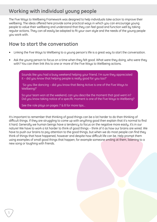# **Working with individual young people**

The Five Ways to Wellbeing Framework was designed to help individuals take action to improve their wellbeing. The ideas offered here provide some practical ways in which you can encourage young people to value their wellbeing and understand that they can feel good and function well by taking regular actions. They can all easily be adapted to fit your own style and the needs of the young people you work with.

## **How to start the conversation**

- Linking the Five Ways to Wellbeing to a young person's life is a great way to start the conversation.
- Ask the young person to focus on a time when they felt good. What were they doing, who were they with? You can then link this to one or more of the Five Ways to Wellbeing actions.

Sounds like you had a busy weekend helping your friend. I'm sure they appreciated it – did you know that helping people is really good for you too?'

 'So you like dancing – did you know that Being Active is one of the Five Ways to Wellbeing?'

So your team won at the weekend, can you describe the moment that goal went in? Did you know taking notice of a specific moment is one of the Five Ways to Wellbeing?

See the role plays on pages 7 & 8 for more tips...

It's important to remember that thinking of good things can be a lot harder to do than thinking of difficult things. If they are struggling to come up with anything good then explain that it's normal to find it hard. Generally we human beings have a tendency to focus on the negative more easily, it's in our nature! We have to work a lot harder to think of good things – think of it as how our brains are wired. We have to push our brains to pay attention to the good things, but when we do most people can find they think of things that have happened, however and despite how difficult life can be. Help prompt them using examples of small good things that happen; for example someone smiling at them, listening to a new song or laughing with friends.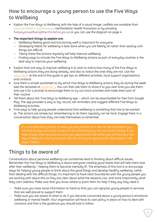## **How to encourage a young person to use the Five Ways to Wellbeing**

- Explain the Five Ways to Wellbeing with the help of a visual image. Leaflets are available from www.hertsdirect.org/fiveways, Hertfordshire Health Promotion or by emailing [fivewaystowellbeing@hertfordshire.gov.uk](mailto:fivewaystowellbeing%40hertfordshire.gov.uk?subject=) or you can use the diagram on page 4.
- **• The important things to explain are:** 
	- ‒ Wellbeing (feeling good and functioning well) is important for everyone.
	- ‒ Developing habits for wellbeing is best done when you are feeling ok rather than waiting until things are difficult.
	- ‒ Taking these five actions regularly will help improve wellbeing.
	- ‒ Finding ways to include the Five Ways to Wellbeing actions as part of everyday routines is the best way to improve your wellbeing.
- Explain that one way to improve wellbeing is to start to notice how many of the Five Ways to Wellbeing actions they are doing already, and also to notice the ones they are not. Use the [Ideas Bank](#page-12-0) at the end of this guide to get tips on different activities, local support organisations and contacts.
- Give them a simple worksheet to log which Five Ways to Wellbeing actions they do during the week (see the template at *appendix 1*. You can then ask them to show it to you next time you see them, and use it for a prompt to encourage them to try out more activities and make them part of their routine.
- Tell them about the 'Five Ways to Wellbeing app' which can be downloaded for free from Google Play. The app provides a way to log, record, set reminders and suggest different Five Ways to Wellbeing activities.
- Find ways to help young people understand that wellbeing is something that has to be worked at. The actions are simple but remembering to do them regularly can be hard. Engage them in a conversation about how they can help themselves to remember.

For example taking notice of what you are grateful for in life can be hard when you are feeling down and even more so if it's something you are not used to doing. It has been proven that focusing on what you appreciate in life when you are having a bad day is helpful for moving forward. See the activity on appreciation described in 'role play 2' below.

## **Things to be aware of**

Conversations about personal wellbeing can sometimes lead to thinking about difficult issues. Remember the Five Ways to Wellbeing is about everyone creating good habits that will help them look after their wellbeing – helping them to become mentally fit. The emphasis of this tool is to encourage ways for helping young people to think about the good things and develop healthy wellbeing, rather than dealing with the difficult things. It's important to have clear boundaries with the young people you are working with about this so they are clear about what the sessions can, and more importantly what they can't address. Make sure that you know where to point them for help if they say they need it.

- ‒ Make sure you have some information to hand so that you can signpost young people to services that are well placed to support them.
- ‒ Make sure you are aware of what to do if you become concerned about a young person's emotional wellbeing or mental health. Your organisation will have its own policy in place on how to deal with concerns and that is the guidance you should look to follow.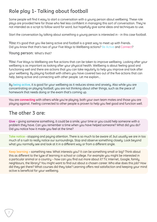# **Role play 1- Talking about football**

Some people will find it easy to start a conversation with a young person about wellbeing. These role plays are provided here for those who feel less confident in managing this sort of conversation. They're not intended as a script to follow word for word, but hopefully give some ideas and techniques to use.

Start the conversation by talking about something a young person is interested in - in this case football.

**You:** It's good that you like being active and football is a great way to meet up with friends. Did you know that that's two of your Five Ways to Wellbeing actions? Be Active and Connect?

**Young person:** What's that?

**You:** Five Ways to Wellbeing are five actions that can be taken to improve wellbeing. Looking after your wellbeing is as important as looking after your physical health. Wellbeing is about feeling good and functioning well and there are actions that you can take regularly to help you improve and look after your wellbeing. By playing football with others you have covered two out of the five actions that can help, being active and connecting with other people. Let me explain…

By **being active**, it is good for your wellbeing as it reduces stress and anxiety. Also while you are concentrating on playing football, you are not thinking about other things, such as the piece of homework that needs doing or the exam that's coming up.

You are **connecting** with others while you're playing, both your own team mates and those you are playing against. Feeling connected to other people is proven to help you feel good and function well.

## **The other 3 are:**

7

**Give** – giving someone something, it could be a smile, your time or you could help someone with a problem they have. Can you remember a time when you have helped someone? What did you do? Did you notice how it made you feel at the time?

**Take notice** - stopping and paying attention. There is so much to be aware of, but usually we are in too much of a rush to really notice our surroundings. Stop and observe something closely. Look beyond what you normally see and look at it in a different way or from a different angle.

**Keep learning** – something new. What interests you? It can be something small or big? Think about this as different to the type of learning in school or college. For example you might be interested in a particular animal or a country – how can you find out more about it? TV, Internet, Google, family, neighbours, the library? You might want to find out about a chosen career. Who else does this job? How did they get there? What courses did they take? Learning offers real satisfaction and keeping your mind active is beneficial for your wellbeing.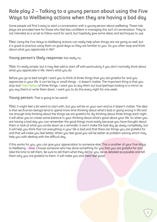## **Role play 2 – Talking to a young person about using the Five Ways to Wellbeing actions when they are having a bad day**

Some people will find it easy to start a conversation with a young person about wellbeing. These role plays are provided here for those who feel less confident in managing this sort of conversation. They're not intended as a script to follow word for word, but hopefully give some ideas and techniques to use.

**You:** Using the Five Ways to Wellbeing actions can really help when things are not going so well, but it is good to practice using them on good days so they are familiar to you. Do you often stop and think about what you appreciate in life?

**Young person's likely response:** Not really no.

You: It's really simple, but it may feel odd to start off with particularly if you don't normally think about what you appreciate in life. Here's what you do

Before you go to bed tonight I want you to think of three things that you are grateful for and you appreciate in your life. It can be big or small things – it doesn't matter. The important thing is that you stop and **Take Notice** of three things. I want you to say them out loud (perhaps looking in a mirror as you say them) or write them down. I want you to do this every night for one week.

**Young person:** That is going to be weird!

**You:** It might feel a bit weird to start with, but you will be on your own and so it doesn't matter. The idea is that we (human beings) tend to spend more time thinking about what's bad or going wrong in life and not enough time thinking about the things we are grateful for. By thinking about three things each night it will allow you to create some balance in your thinking about what's good about your life. So when you are having a bad day you can remember the good things more easily because you have thought about them or look at what you wrote down as a reminder. It won't make the bad day go away completely, but it will help you think that not everything in your life is bad and that there are things you are grateful for and that will make you feel better. When you feel good you will be better at problem solving which may help you with dealing with the difficult day.

If this works for you, you can give your appreciation to someone else. This is another of your Five Ways to Wellbeing – **Give**. Choose someone who has done something for you that you are grateful for and take the time to tell them. Be sure to tell them what they did for you, be as detailed as possible and tell them why you are grateful to them. It will make you and them feel good.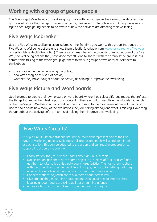## **Working with a group of young people**

The Five Ways to Wellbeing can work as group work with young people. Here are some ideas for how you can introduce the concept to a group of young people in an interactive way. During the sessions, try to encourage young people to be aware of how the activities are affecting their wellbeing.

# **Five Ways Icebreaker**

Use the Five Ways to Wellbeing as an icebreaker the first time you work with a group. Introduce the Five Ways to Wellbeing actions and show them a leaflet (available from www.hertsdirect.org/fiveways or Hertfordshire Health Promotion). Then ask each member of the group to think about one of the Five Ways to Wellbeing actions they have done recently and to share it with the group. If the group is less comfortable talking to the whole group, get them to work in groups or two or three. Ask them to think about:

- the emotion they felt when doing the activity.
- how often they do this sort of activity.
- whether they have thought about the activity as helping to improve their wellbeing.

## **Five Ways Picture and Word boards**

Get the group to create their own picture or word board, where they select different images that reflect the things that make them feel happy and content in their every day lives. Give them labels with each of the Five Ways to Wellbeing actions and get them to assign to the most relevant area of their board. Use this to discuss how many of the five actions they are taking already and what is missing. Have they thought about the activity before in terms of helping them improve their wellbeing?

## **'Five Ways Circuits'**

Set up a circuit with five stations around the room that represent one of the Five Ways to Wellbeing actions. Split into small groups and each will spend 10 minutes at each station. This can be adapted to the group and can require preparation to support it, but could include the:

- Learn station: they must learn 5 facts about an unusual topic
- Notice station: give them all the same object (e.g. a piece of fruit, or a leaf) and get them to take notice of it's individual characteristics. Then ask them to share with the group how their item is different unique, unusual. Something that they wouldn't have noticed if they had not focused their attention on it.
- Connect station: they each share two facts about themselves.
- Give station: they must think about actions they could take to improve their local neighbourhood e.g. picking up litter or painting a fence.
- Active station: do as many keepy uppies in a row as they can.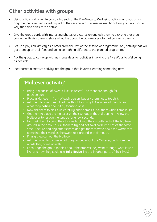## **Other activities with groups**

- Using a flip chart or white board list each of the Five Ways to Wellbeing actions, and add a tick anytime they are mentioned as part of the session, e.g. if someone mentions being active in some way then add a tick to 'be active'.
- Give the group cards with interesting photos or pictures on and ask them to pick one that they connect with. Ask them to share what it is about the picture or photo that connects them to it.
- Set up a physical activity as a break from the rest of the session or programme. Any activity that will get them up on their feet and doing something different to the planned programme.
- Ask the group to come up with as many ideas for activities involving the Five Ways to Wellbeing as possible.
- Incorporate a creative activity into the group that involves learning something new.

## **'Malteser activity'**

- Bring in a packet of sweets (like Maltesers) so there are enough for each person.
- Place a Malteser in front of each person, but ask them not to touch it.
- Ask them to look carefully at it without touching it. Ask a few of them to say what they **notice** about it by focusing on it.
- Now ask them to pick it up carefully and to smell it. Ask them what it smells like.
- Get them to place the Malteser on their tongue without dropping it. Allow the Malteaser to rest on the tongue for a few seconds.
- Now ask them to bring their tongue back into their mouth and roll the Malteser around in their mouth. Ask them to try and not swallow but to **notice** the taste, smell, texture and any other senses and get them to write down the words that come into their mind as the sweet rolls around in their mouth.
- Finally they can eat the Malteser.
- Ask the group to discuss what they noticed about the Malteser, and share the words they came up with.
- Encourage the group to think about the process they went through, what it was like, and how they could use **Take Notice** like this in other parts of their lives?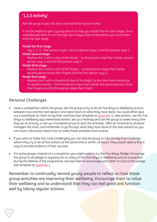## **'1,2,3 activity'**

Ask the group to get into pairs and stand facing each other.

It can be helpful to get a young person to help you model this for each stage. Once modelled get them to run through each stage a few times before you move them onto the next stage.

#### **Model the first stage**

Say 1, 2, 3 – first person says 1, second person says 2 and first person says 1. **Model second stage**

- Replace the 1 with a clap of the hands so first person clap their hands, second person says 2 and the first person says 3.
- **Model third stage**
- Replace the 2 with a click of the fingers so first person claps their hands, second person clicks their fingers and the first person says 3.

#### **Model final stage**

Replace the 3 with a (theatrical) slap of the thigh! So this time there should be no spoken sounds – The first person claps their hands, the second person clicks their fingers and the first person slaps their thigh!

### **Personal Challenges**

- Have a competition within the group: ask the group to try to do all Five Ways to Wellbeing actions between now and the next session and report back on what they have done. You could either give out a worksheet for them to log their activities (see template at [appendix](#page-17-0) 1), take photos, use the Five Ways to Wellbeing app (mentioned earlier), set up a hashtag and ask the group to tweet every time they do an activity, or set up a Facebook group to post the activities. Offer an incentive to whoever manages the most, and remember to go through what they have done at the next session so you can have a discussion about how to make these activities more routine.
- If you want to make this more challenging you can ask the group to take the Big Five Challenge, where they try to do all five actions at the same time or within 24 hours. They would need to find a way to provide evidence of their success.
- For some groups, instead of a competition you might want to try the Five Ways Pledge. Encourage the group to all pledge to regularly do as many of the Five Ways to Wellbeing actions as possible during the lifetime of the programme, and ask them to encourage each other to stick to this pledge. See template at [appendix 2.](#page-18-0)

**Remember to continually remind young people to reflect on how these group activities are improving their wellbeing. Encourage them to value their wellbeing and to understand that they can feel good and function well by taking regular actions.**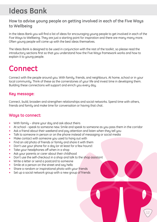# <span id="page-12-0"></span>**Ideas Bank**

## **How to advise young people on getting involved in each of the Five Ways to Wellbeing**

In the Ideas Bank you will find a list of ideas for encouraging young people to get involved in each of the Five Ways to Wellbeing. They are just a starting point for inspiration and there are many many more. Often young people will come up with the best ideas themselves.

The Ideas Bank is designed to be used in conjunction with the rest of the toolkit, so please read the introductory sections first so that you understand how the Five Ways framework works and how to explain it to young people.

# **Connect**

Connect with the people around you. With family, friends, and neighbours. At home, school or in your local community. Think of these as the cornerstones of your life and invest time in developing them. Building these connections will support and enrich you every day.

### **Key message:**

Connect, build, broaden and strengthen relationships and social networks. Spend time with others, friends and family and make time for conversation or having that chat.

### **Ways to connect:**

- With family share your day and ask about theirs
- At school speak to someone new. Smile and speak to someone as you pass them in the corridor
- Ask a friend about their weekend and pay attention and listen when they tell you
- Talk to someone in person or on the phone instead of messaging or social media
- Make contact with someone you used to hang out with
- Find an old photo of friends or family and share it with them
- Don't use your phone for a day (or at least for a few hours!)
- Take your headphones off when in a shop
- Ask your parents or carer about their childhood
- Don't use the self-checkout in a shop and talk to the shop assistant
- Write a letter or send a postcard to someone
- Smile at a person on the street and say hello
- Share a random or inspirational photo with your friends
- Set up a social network group with a new group of friends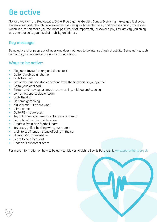# **Be active**

Go for a walk or run. Step outside. Cycle. Play a game. Garden. Dance. Exercising makes you feel good. Evidence suggests that physical exercise changes your brain chemistry and releases happy hormones which in turn can make you feel more positive. Most importantly, discover a physical activity you enjoy and one that suits your level of mobility and fitness.

#### **Key message:**

Being active is for people of all ages and does not need to be intense physical activity. Being active, such as walking, can also encourage social interactions.

### **Ways to be active:**

- Play your favourite song and dance to it
- Go for a walk at lunchtime
- Walk to school
- Get off the bus one stop earlier and walk the final part of your journey
- Go to your local park
- Stretch and move your limbs in the morning, midday and evening
- Join a new sports club or team
- Walk the dog
- Do some gardening
- Make bread it's hard work!
- Climb a tree

13

- Go to PE no excuses!
- Try out a new exercise class like yoga or zumba
- Learn how to swim or ride a bike
- Create a five a side football team
- Try crazy golf or bowling with your mates
- Walk to see friends instead of going in the car
- Have a Wii fit competition
- Learn to be a lifeguard
- Coach a kids football team

For more information on how to be active, visit Hertfordshire Sports Partnership www.sportinherts.org.uk

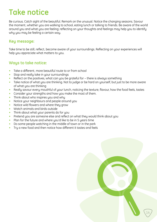# **Take notice**

Be curious. Catch sight of the beautiful. Remark on the unusual. Notice the changing seasons. Savour the moment, whether you are walking to school, eating lunch or talking to friends. Be aware of the world around you and what you are feeling; reflecting on your thoughts and feelings may help you to identify why you may be feeling a certain way.

#### **Key message:**

Take time to be still, reflect, become aware of your surroundings. Reflecting on your experiences will help you appreciate what matters to you.

### **Ways to take notice:**

- Take a different, more beautiful route to or from school
- Stop and really take in your surroundings
- Reflect on the positives, what can you be grateful for there is always something
- Take notice of what you are thinking. Not to judge or be hard on yourself, but just to be more aware of what you are thinking
- Really savour every mouthful of your lunch, noticing the texture, flavour, how the food feels, tastes
- Consider your strengths and how you make the most of them.
- Think about who inspires you and why
- Notice your neighbours and people around you
- Notice wild flowers and where they grow
- Watch animals and birds outside
- Think about what your parents do for you
- Pretend you are someone else and reflect on what they would think about you
- Plan for the future and where you'd like to be in 5 years time
- Do some people watching in the middle of town or in the park
- Try a new food and then notice how different it tastes and feels

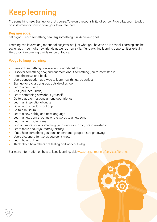# **Keep learning**

Try something new. Sign up for that course. Take on a responsibility at school. Fix a bike. Learn to play an instrument or how to cook your favourite food.

#### **Key message:**

Set a goal. Learn something new. Try something fun. Achieve a goal.

Learning can involve any manner of subjects, not just what you have to do in school. Learning can be social, you may make new friends as well as new skills. Many exciting learning opportunities exist in Hertfordshire covering a wide range of topics.

#### **Ways to keep learning:**

- Research something you've always wondered about
- Discover something new, find out more about something you're interested in
- Read the news or a book
- Use a conversation as a way to learn new things, be curious
- Sign up for a class or group outside of school
- Learn a new word
- Visit your local library
- Learn something new about yourself
- Go to a quiz or host one among your friends
- Learn an inspirational quote
- Download a random fact app
- Go to a museum
- Learn a new hobby or a new language
- Learn a new dance routine or the words to a new song
- Learn a new route home
- Find out more about something your friends or family are interested in
- Learn more about your family history
- If you hear something you don't understand, google it straight away
- Use a dictionary for words you don't know
- Learn how to drive

15

Think about how others are feeling and work out why

For more information on how to keep learning, visit www.hertsdirect.org/services/libraries

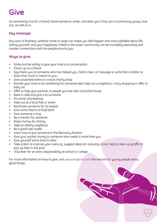# **Give**

Do something nice for a friend, thank someone, smile, volunteer your time, join a community group, look out, as well as in.

#### **Key message:**

Any acts of kindness, whether small or large can make you feel happier and more satisfied about life. Seeing yourself, and your happiness, linked to the wider community can be incredibly rewarding and creates connections with the people around you.

#### **Ways to give:**

- Smile and be willing to give your time to a conversation
- Check up on a friend
- Say thank you to someone who has helped you. Send a text, or message or write them a letter to show how much it meant to you.
- Give unwanted items to a local charity shop
- Donate your time to do something for someone else; help out a neighbour; carry shopping or offer to baby-sit
- Offer to help your parents or people you live with round the house
- Bake a cake and give it to someone
- Do some volunteering
- Help out at a local fete or event
- Nominate someone for an award
- Give some food to a food bank
- Give someone a hug
- Be a mentor for someone
- Raise money for charity
- Help an elderly neighbour
- Be a good role model
- Learn how to put someone in the Recovery Position
- Give your pocket money to someone who needs it more than you
- Give yourself some time to relax
- Take action to improve your area e.g. suggest ideas for reducing crime, help to clean up graffiti or pick up litter in the park
- Volunteer for an extra responsibility at school or college

For more information on how to give, visit www.vinspired.com the website for young people doing good things.

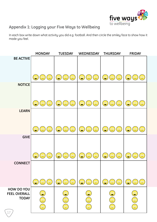

## <span id="page-17-0"></span>**Appendix 1: Logging your Five Ways to Wellbeing**

In each box write down what activity you did e.g. football. And then circle the smiley face to show how it made you feel.

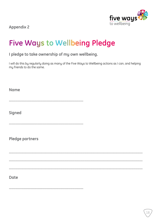

<span id="page-18-0"></span>**Appendix 2** 

# **Five Ways to Wellbeing Pledge**

## I pledge to take ownership of my own wellbeing.

I will do this by regularly doing as many of the Five Ways to Wellbeing actions as I can, and helping my friends to do the same.

| <b>Name</b>     |
|-----------------|
| <b>Signed</b>   |
|                 |
| Pledge partners |
|                 |
|                 |
|                 |
| <b>Date</b>     |
|                 |